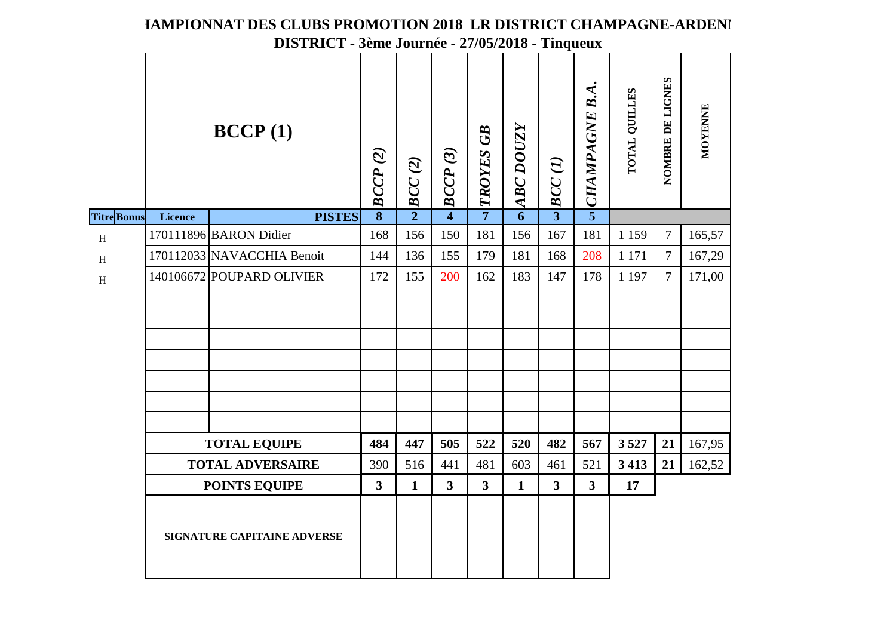|                   |                             |                            | DISTRICT - 3ème Journée - 27/05/2018 - Tinqueux |                |                         |                         |                |                                              |                  |               |                  |                |  |
|-------------------|-----------------------------|----------------------------|-------------------------------------------------|----------------|-------------------------|-------------------------|----------------|----------------------------------------------|------------------|---------------|------------------|----------------|--|
|                   |                             | BCCP(1)                    | BCCP(2)                                         | $\sim$ BCC (2) | BCCP(3)                 | $\lhd$ TROYES GB        | $ABC$ DOUZY    | $\omega\textbf{\textit{BCC}}\left( I\right)$ | u CHAMPAGNE B.A. | TOTAL QUILLES | NOMBRE DE LIGNES | <b>MOYENNE</b> |  |
| <b>TitreBonus</b> | Licence                     | <b>PISTES</b>              | $\overline{\mathbf{8}}$                         |                | $\overline{4}$          |                         | $\overline{6}$ |                                              |                  |               |                  |                |  |
| $\, {\rm H}$      |                             | 170111896 BARON Didier     | 168                                             | 156            | 150                     | 181                     | 156            | 167                                          | 181              | 1 1 5 9       | $\overline{7}$   | 165,57         |  |
| $\, {\rm H}$      |                             | 170112033 NAVACCHIA Benoit | 144                                             | 136            | 155                     | 179                     | 181            | 168                                          | 208              | 1 1 7 1       | $\overline{7}$   | 167,29         |  |
| $\, {\rm H}$      |                             | 140106672 POUPARD OLIVIER  | 172                                             | 155            | 200                     | 162                     | 183            | 147                                          | 178              | 1 1 9 7       | $\overline{7}$   | 171,00         |  |
|                   |                             |                            |                                                 |                |                         |                         |                |                                              |                  |               |                  |                |  |
|                   |                             |                            |                                                 |                |                         |                         |                |                                              |                  |               |                  |                |  |
|                   |                             |                            |                                                 |                |                         |                         |                |                                              |                  |               |                  |                |  |
|                   |                             |                            |                                                 |                |                         |                         |                |                                              |                  |               |                  |                |  |
|                   |                             |                            |                                                 |                |                         |                         |                |                                              |                  |               |                  |                |  |
|                   |                             |                            |                                                 |                |                         |                         |                |                                              |                  |               |                  |                |  |
|                   |                             |                            |                                                 |                |                         |                         |                |                                              |                  |               |                  |                |  |
|                   | <b>TOTAL EQUIPE</b>         |                            | 484                                             | 447            | 505                     | 522                     | 520            | 482                                          | 567              | 3527          | 21               | 167,95         |  |
|                   | <b>TOTAL ADVERSAIRE</b>     |                            |                                                 | 516            | 441                     | 481                     | 603            | 461                                          | 521              | 3 4 1 3       | 21               | 162,52         |  |
|                   | <b>POINTS EQUIPE</b>        |                            |                                                 | $\mathbf{1}$   | $\overline{\mathbf{3}}$ | $\overline{\mathbf{3}}$ | $\mathbf{1}$   | $\overline{\mathbf{3}}$                      | $\mathbf{3}$     | 17            |                  |                |  |
|                   | SIGNATURE CAPITAINE ADVERSE |                            |                                                 |                |                         |                         |                |                                              |                  |               |                  |                |  |

# **FAMPIONNAT DES CLUBS PROMOTION 2018 LR DISTRICT CHAMPAGNE-ARDENI**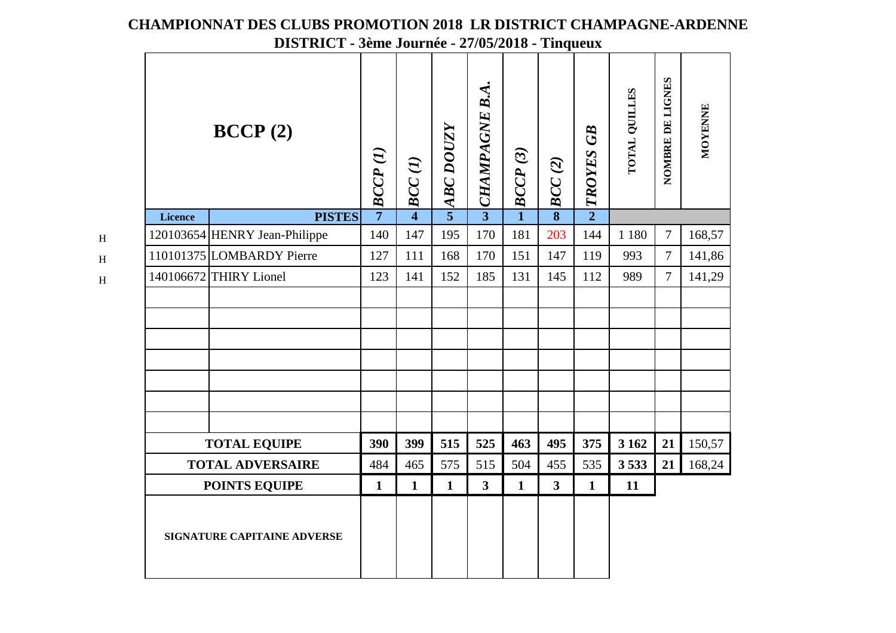|                                                                        |                               | $D151$ NIC 1 - Jenie Journee - $21103/2010$ - Tinqueux |                |                  |                       |                         |                         |                  |               |                  |         |  |
|------------------------------------------------------------------------|-------------------------------|--------------------------------------------------------|----------------|------------------|-----------------------|-------------------------|-------------------------|------------------|---------------|------------------|---------|--|
| BCCP(2)                                                                |                               | BCCP(I)                                                | BCC(1)         | <b>ABC DOUZY</b> | <b>CHAMPAGNE B.A.</b> | BCCP(3)                 | BCC(2)                  | $\sim$ TROYES GB | TOTAL QUILLES | NOMBRE DE LIGNES | MOYENNE |  |
| <b>Licence</b>                                                         | <b>PISTES</b>                 | $\overline{7}$                                         | $\overline{4}$ | $\overline{5}$   | $\overline{3}$        | $\overline{\mathbf{1}}$ |                         |                  |               |                  |         |  |
|                                                                        | 120103654 HENRY Jean-Philippe | 140                                                    | 147            | 195              | 170                   | 181                     | 203                     | 144              | 1 1 8 0       | $\overline{7}$   | 168,57  |  |
|                                                                        | 110101375 LOMBARDY Pierre     | 127                                                    | 111            | 168              | 170                   | 151                     | 147                     | 119              | 993           | $\overline{7}$   | 141,86  |  |
|                                                                        | 140106672 THIRY Lionel        | 123                                                    | 141            | 152              | 185                   | 131                     | 145                     | 112              | 989           | $\overline{7}$   | 141,29  |  |
|                                                                        |                               |                                                        |                |                  |                       |                         |                         |                  |               |                  |         |  |
|                                                                        |                               |                                                        |                |                  |                       |                         |                         |                  |               |                  |         |  |
|                                                                        |                               |                                                        |                |                  |                       |                         |                         |                  |               |                  |         |  |
|                                                                        |                               | 390                                                    | 399            | 515              | 525                   | 463                     | 495                     | 375              | 3 1 6 2       | 21               | 150,57  |  |
|                                                                        |                               | 484                                                    | 465            | 575              | 515                   | 504                     | 455                     | 535              | 3533          | 21               | 168,24  |  |
| <b>TOTAL EQUIPE</b><br><b>TOTAL ADVERSAIRE</b><br><b>POINTS EQUIPE</b> |                               | $\mathbf{1}$                                           | $\mathbf{1}$   | $\mathbf{1}$     | $\mathbf{3}$          | $\mathbf{1}$            | $\overline{\mathbf{3}}$ | $\mathbf{1}$     | 11            |                  |         |  |
| SIGNATURE CAPITAINE ADVERSE                                            |                               |                                                        |                |                  |                       |                         |                         |                  |               |                  |         |  |

H

H

H

**CHAMPIONNAT DES CLUBS PROMOTION 2018 LR DISTRICT CHAMPAGNE-ARDENNEDISTRICT - 3ème Journée - 27/05/2018 - Tinqueux**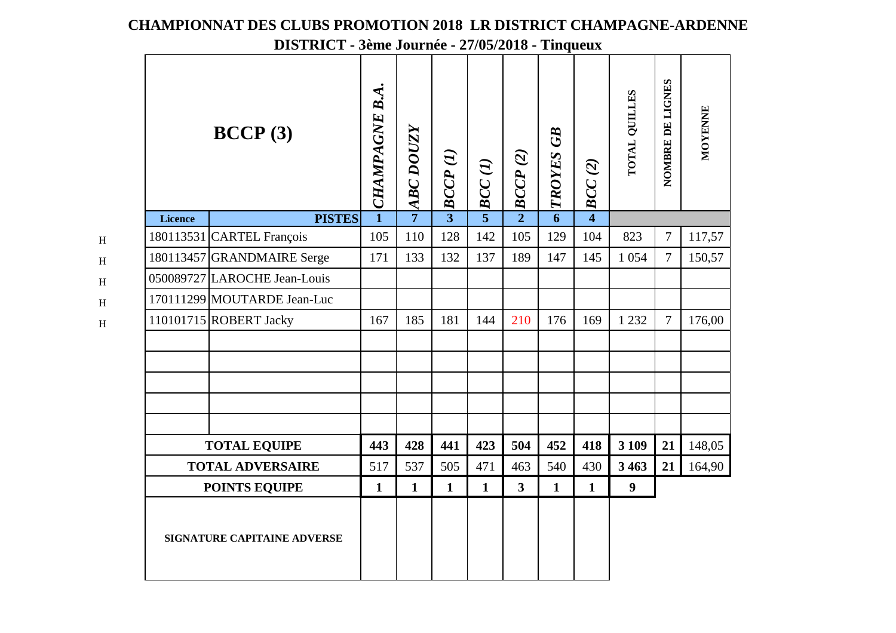#### NOMBRE DE LIGNES **NOMBRE DE LIGNES** CHAMPAGNE B.A. *CHAMPAGNE B.A.* **TOTAL QUILLES TOTAL QUILLES MOYENNE MOYENNE BCCP (3)***ABC DOUZY* **ABC DOUZY** TROYES GB *TROYES GB BCCP (2) BCCP (1) BCC (1) BCC (2)* **PISTES7351264Licence**180113531 CARTEL François 105 110 128 142 105 129 104 823 7 117,57<br>180113457 GRANDMAIRE Serge 171 133 132 137 189 147 145 1 054 7 150,57 105 110 128 142 105 129 104 180113457 GRANDMAIRE Serge <sup>050089727</sup> LAROCHE Jean-Louis <sup>170111299</sup> MOUTARDE Jean-Luc | 110101715 ROBERT Jacky | 167 | 185 | 181 | 144 | 210 | 176 | 169 | 1232 | 7 | 176,00 **TOTAL EQUIPE** $21 \mid 148,05$ **443 428 441 423 504 452 418 3 109 21TOTAL ADVERSAIRE 3 463 <sup>21</sup>** 164,90 517 537 505 471 463 540 430**POINTS EQUIPE1 1 1 1 3 1 1 9SIGNATURE CAPITAINE ADVERSE**

H

H

H

H

H

#### **CHAMPIONNAT DES CLUBS PROMOTION 2018 LR DISTRICT CHAMPAGNE-ARDENNE**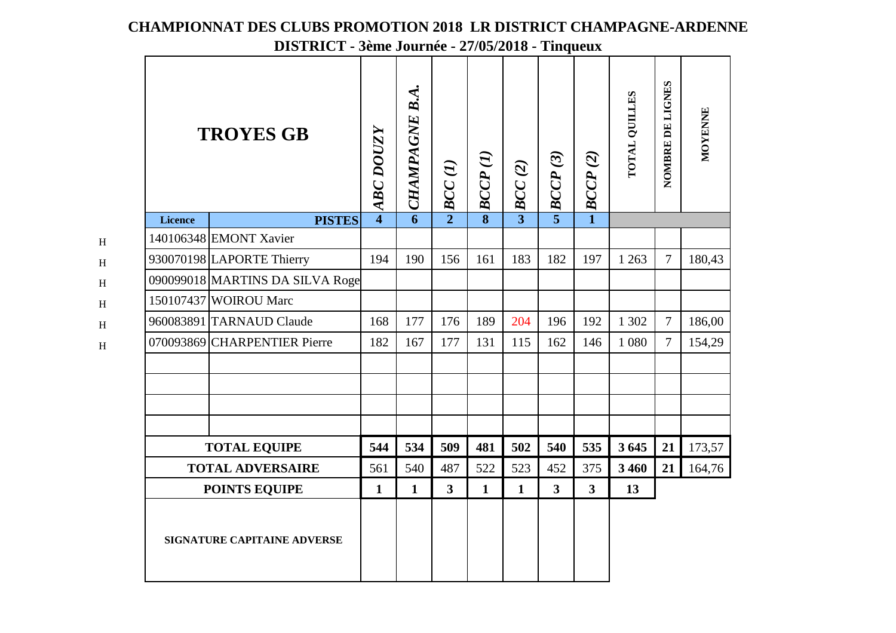| <b>TROYES GB</b>                                |                                 | <b>ABC DOUZY</b>        | CHAMPAGNE B.A. | BCC(1)         | BCCP(I)      | BCC(2)         | $\mathbf{C}$ $\mathbf{C}$ $\mathbf{C}$ $\mathbf{P}$ $(3)$ | BCCP(2)        | TOTAL QUILLES | NOMBRE DE LIGNES | <b>MOYENNE</b> |
|-------------------------------------------------|---------------------------------|-------------------------|----------------|----------------|--------------|----------------|-----------------------------------------------------------|----------------|---------------|------------------|----------------|
| <b>Licence</b>                                  | <b>PISTES</b>                   | $\overline{\mathbf{4}}$ |                | $\overline{2}$ |              | $\overline{3}$ |                                                           | $\mathbf{1}$   |               |                  |                |
|                                                 | 140106348 EMONT Xavier          |                         |                |                |              |                |                                                           |                |               |                  |                |
|                                                 | 930070198 LAPORTE Thierry       | 194                     | 190            | 156            | 161          | 183            | 182                                                       | 197            | 1 2 6 3       | $\tau$           | 180,43         |
|                                                 | 090099018 MARTINS DA SILVA Roge |                         |                |                |              |                |                                                           |                |               |                  |                |
|                                                 | 150107437 WOIROU Marc           |                         |                |                |              |                |                                                           |                |               |                  |                |
|                                                 | 960083891 TARNAUD Claude        | 168                     | 177            | 176            | 189          | 204            | 196                                                       | 192            | 1 302         | $\overline{7}$   | 186,00         |
|                                                 | 070093869 CHARPENTIER Pierre    | 182                     | 167            | 177            | 131          | 115            | 162                                                       | 146            | 1 0 8 0       | $\overline{7}$   | 154,29         |
|                                                 |                                 |                         |                |                |              |                |                                                           |                |               |                  |                |
|                                                 |                                 |                         |                |                |              |                |                                                           |                |               |                  |                |
| <b>TOTAL EQUIPE</b>                             |                                 | 544                     | 534            | 509            | 481          | 502            | 540                                                       | 535            | 3 6 45        | 21               | 173,57         |
| <b>TOTAL ADVERSAIRE</b><br><b>POINTS EQUIPE</b> |                                 |                         | 540            | 487            | 522          | 523            | 452                                                       | 375            | 3 4 6 0       | 21               | 164,76         |
|                                                 |                                 |                         | $\mathbf{1}$   | $\mathbf{3}$   | $\mathbf{1}$ | $\mathbf{1}$   | $\overline{\mathbf{3}}$                                   | 3 <sup>1</sup> | 13            |                  |                |
| SIGNATURE CAPITAINE ADVERSE                     |                                 |                         |                |                |              |                |                                                           |                |               |                  |                |

H

H

H

H

H

H

## **CHAMPIONNAT DES CLUBS PROMOTION 2018 LR DISTRICT CHAMPAGNE-ARDENNE**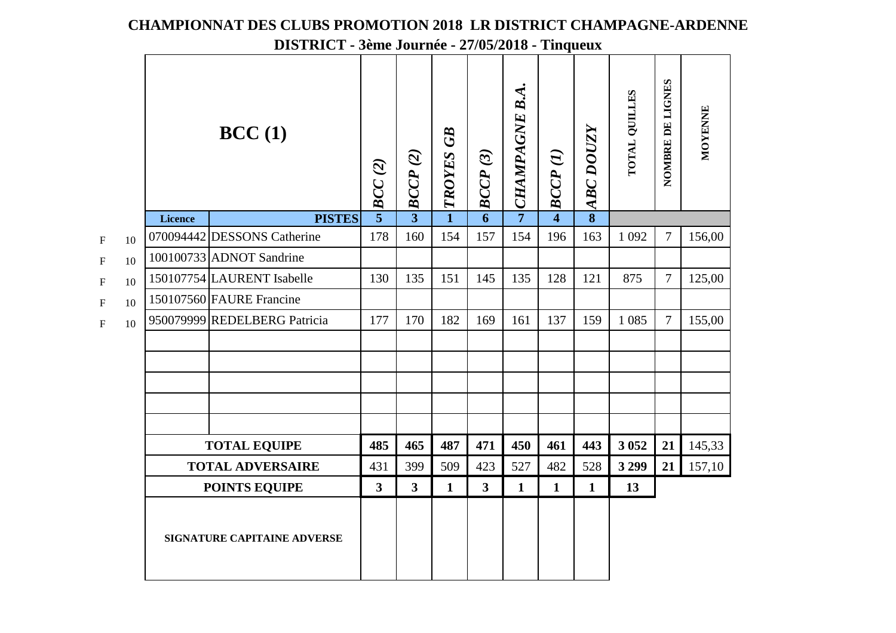|             |    |                                    |                              | $D151$ KIC 1 - Jeffie Journee - $27/03/2010$ - Thiqueux |                |                  |                |                |                |                         |               |                  |         |  |
|-------------|----|------------------------------------|------------------------------|---------------------------------------------------------|----------------|------------------|----------------|----------------|----------------|-------------------------|---------------|------------------|---------|--|
|             |    | BCC(1)                             |                              |                                                         | BCCP(2)        | <b>TROYES GB</b> | BCCP(3)        | CHAMPAGNE B.A. | BCCP(I)        | <b>ABC DOUZY</b>        | TOTAL QUILLES | NOMBRE DE LIGNES | MOYENNE |  |
|             |    | <b>Licence</b>                     | <b>PISTES</b>                | BCC(2)<br>$\overrightarrow{5}$                          | $\overline{3}$ | $\mathbf{1}$     | $\overline{6}$ | $\overline{7}$ | $\overline{4}$ | $\overline{\mathbf{8}}$ |               |                  |         |  |
| $\mathbf F$ | 10 |                                    | 070094442 DESSONS Catherine  | 178                                                     | 160            | 154              | 157            | 154            | 196            | 163                     | 1 0 9 2       | $\overline{7}$   | 156,00  |  |
| $\mathbf F$ | 10 |                                    | 100100733 ADNOT Sandrine     |                                                         |                |                  |                |                |                |                         |               |                  |         |  |
| $\mathbf F$ | 10 |                                    | 150107754 LAURENT Isabelle   | 130                                                     | 135            | 151              | 145            | 135            | 128            | 121                     | 875           | $\overline{7}$   | 125,00  |  |
| $\mathbf F$ | 10 |                                    | 150107560 FAURE Francine     |                                                         |                |                  |                |                |                |                         |               |                  |         |  |
| $\mathbf F$ | 10 |                                    | 950079999 REDELBERG Patricia | 177                                                     | 170            | 182              | 169            | 161            | 137            | 159                     | 1 0 8 5       | $\tau$           | 155,00  |  |
|             |    |                                    |                              |                                                         |                |                  |                |                |                |                         |               |                  |         |  |
|             |    |                                    |                              |                                                         |                |                  |                |                |                |                         |               |                  |         |  |
|             |    |                                    |                              |                                                         |                |                  |                |                |                |                         |               |                  |         |  |
|             |    |                                    |                              |                                                         |                |                  |                |                |                |                         |               |                  |         |  |
|             |    | <b>TOTAL EQUIPE</b>                |                              | 485                                                     | 465            | 487              | 471            | 450            | 461            | 443                     | 3 0 5 2       | 21               | 145,33  |  |
|             |    | <b>TOTAL ADVERSAIRE</b>            |                              |                                                         | 399            | 509              | 423            | 527            | 482            | 528                     | 3 2 9 9       | 21               | 157,10  |  |
|             |    | <b>POINTS EQUIPE</b>               |                              |                                                         | $\overline{3}$ | $\mathbf{1}$     | $\mathbf{3}$   | $\mathbf{1}$   | $\mathbf{1}$   | $\mathbf{1}$            | 13            |                  |         |  |
|             |    | <b>SIGNATURE CAPITAINE ADVERSE</b> |                              |                                                         |                |                  |                |                |                |                         |               |                  |         |  |

### **CHAMPIONNAT DES CLUBS PROMOTION 2018 LR DISTRICT CHAMPAGNE-ARDENNE**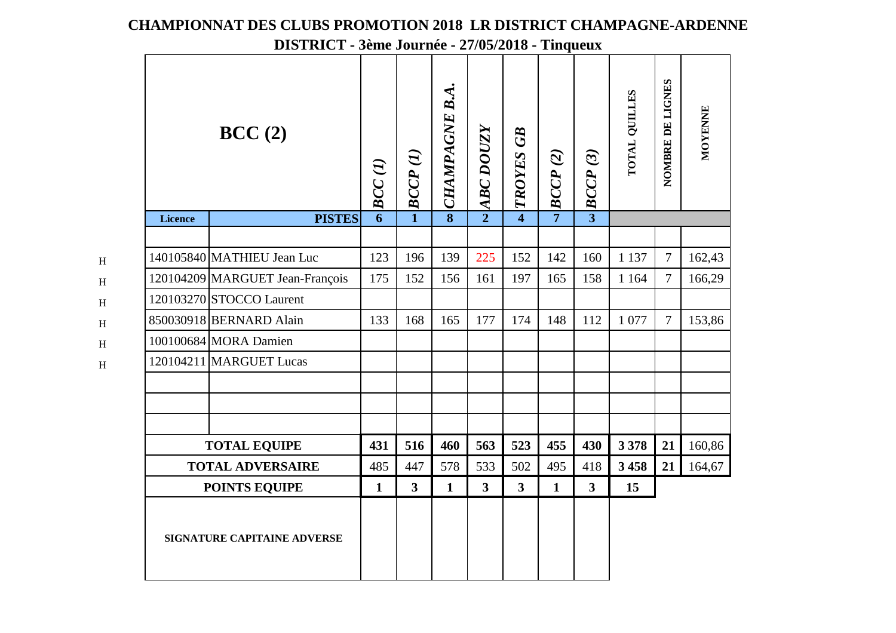| BCC(2)                      |                                 | BCC <sub>(1)</sub> | BCCP(I)                 | CHAMPAGNE B.A.          | <b>ABC DOUZY</b> | TROYES GB               | BCCP(2)        | $\sim$ BCCP (3) | TOTAL QUILLES | NOMBRE DE LIGNES | <b>MOYENNE</b> |
|-----------------------------|---------------------------------|--------------------|-------------------------|-------------------------|------------------|-------------------------|----------------|-----------------|---------------|------------------|----------------|
| <b>Licence</b>              | <b>PISTES</b>                   | $\overline{6}$     | $\mathbf{1}$            | $\overline{\mathbf{8}}$ | $\overline{2}$   | $\overline{4}$          | $\overline{7}$ |                 |               |                  |                |
|                             | 140105840 MATHIEU Jean Luc      | 123                | 196                     | 139                     | 225              | 152                     | 142            | 160             | 1 1 3 7       | $\overline{7}$   | 162,43         |
|                             | 120104209 MARGUET Jean-François | 175                | 152                     | 156                     | 161              | 197                     | 165            | 158             | 1 1 6 4       | $\overline{7}$   | 166,29         |
|                             | 120103270 STOCCO Laurent        |                    |                         |                         |                  |                         |                |                 |               |                  |                |
|                             | 850030918 BERNARD Alain         | 133                | 168                     | 165                     | 177              | 174                     | 148            | 112             | 1 0 7 7       | $\tau$           | 153,86         |
|                             | 100100684 MORA Damien           |                    |                         |                         |                  |                         |                |                 |               |                  |                |
|                             | 120104211 MARGUET Lucas         |                    |                         |                         |                  |                         |                |                 |               |                  |                |
|                             |                                 |                    |                         |                         |                  |                         |                |                 |               |                  |                |
|                             | <b>TOTAL EQUIPE</b>             | 431                | 516                     | 460                     | 563              | 523                     | 455            | 430             | 3 3 7 8       | 21               | 160,86         |
| <b>TOTAL ADVERSAIRE</b>     |                                 | 485                | 447                     | 578                     | 533              | 502                     | 495            | 418             | 3458          | 21               | 164,67         |
| <b>POINTS EQUIPE</b>        |                                 |                    | $\overline{\mathbf{3}}$ | $\mathbf{1}$            | $\mathbf{3}$     | $\overline{\mathbf{3}}$ | $\mathbf{1}$   | 3 <sup>1</sup>  | 15            |                  |                |
| SIGNATURE CAPITAINE ADVERSE |                                 |                    |                         |                         |                  |                         |                |                 |               |                  |                |

H

H

H

H

H

H

## **CHAMPIONNAT DES CLUBS PROMOTION 2018 LR DISTRICT CHAMPAGNE-ARDENNE**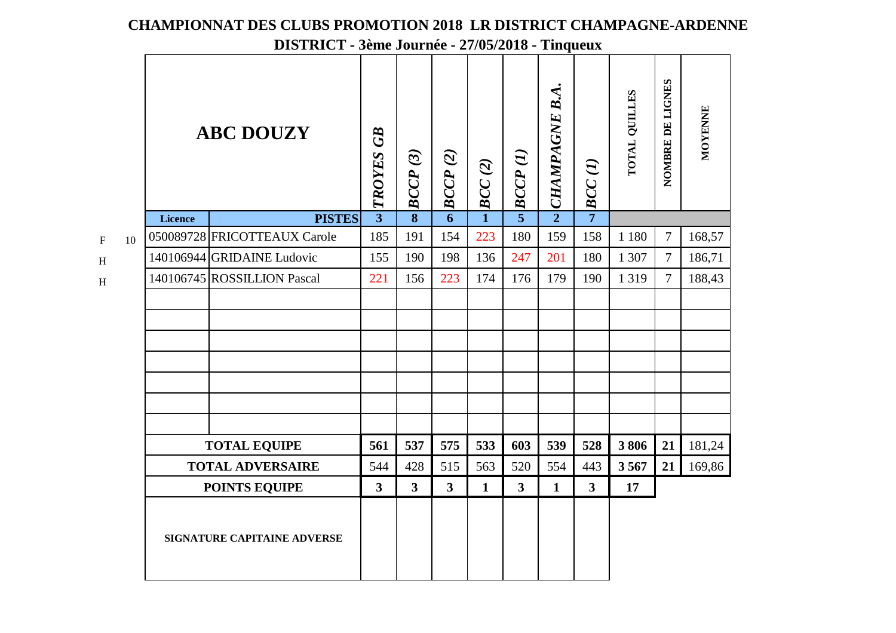|                         |    | <b>ABC DOUZY</b>                                           |                              |                | BCCP(3)                 | BCCP(2)      | $\bm{BCC(2)}$  | $\mathbf{L}$ BCCP $(I)$ | $\sim$ CHAMPAGNE B.A.   | $\rightarrow$ BCC(1) | TOTAL QUILLES | NOMBRE DE LIGNES | <b>MOYENNE</b> |
|-------------------------|----|------------------------------------------------------------|------------------------------|----------------|-------------------------|--------------|----------------|-------------------------|-------------------------|----------------------|---------------|------------------|----------------|
|                         |    | Licence                                                    | <b>PISTES</b>                | $\overline{3}$ | $\overline{\mathbf{8}}$ | 6            | $\overline{1}$ |                         |                         |                      |               |                  |                |
| $\overline{\mathrm{F}}$ | 10 |                                                            | 050089728 FRICOTTEAUX Carole | 185            | 191                     | 154          | 223            | 180                     | 159                     | 158                  | 1 1 8 0       | $\overline{7}$   | 168,57         |
| $\overline{\mathrm{H}}$ |    |                                                            | 140106944 GRIDAINE Ludovic   | 155            | 190                     | 198          | 136            | 247                     | 201                     | 180                  | 1 307         | $\overline{7}$   | 186,71         |
| H                       |    |                                                            | 140106745 ROSSILLION Pascal  | 221            | 156                     | 223          | 174            | 176                     | 179                     | 190                  | 1319          | $\tau$           | 188,43         |
|                         |    |                                                            |                              |                |                         |              |                |                         |                         |                      |               |                  |                |
|                         |    |                                                            |                              |                |                         |              |                |                         |                         |                      |               |                  |                |
|                         |    |                                                            |                              |                |                         |              |                |                         |                         |                      |               |                  |                |
|                         |    |                                                            |                              |                |                         |              |                |                         |                         |                      |               |                  |                |
|                         |    |                                                            |                              |                |                         |              |                |                         |                         |                      |               |                  |                |
|                         |    |                                                            |                              |                |                         |              |                |                         |                         |                      |               |                  |                |
|                         |    |                                                            |                              |                |                         |              |                |                         |                         |                      |               |                  |                |
|                         |    | <b>TOTAL EQUIPE</b>                                        |                              | 561            | 537                     | 575          | 533            | 603                     | 539                     | 528                  | 3806          | 21               | 181,24         |
|                         |    | <b>TOTAL ADVERSAIRE</b>                                    | 544                          | 428            | 515                     | 563          | 520            | 554                     | 443                     | 3567                 | 21            | 169,86           |                |
|                         |    |                                                            | $\mathbf{3}$                 | $\overline{3}$ | $\overline{\mathbf{3}}$ | $\mathbf{1}$ | $\mathbf{3}$   | $\mathbf{1}$            | $\overline{\mathbf{3}}$ | 17                   |               |                  |                |
|                         |    | <b>POINTS EQUIPE</b><br><b>SIGNATURE CAPITAINE ADVERSE</b> |                              |                |                         |              |                |                         |                         |                      |               |                  |                |

 $\rm F$ 

H

H

## **CHAMPIONNAT DES CLUBS PROMOTION 2018 LR DISTRICT CHAMPAGNE-ARDENNE**